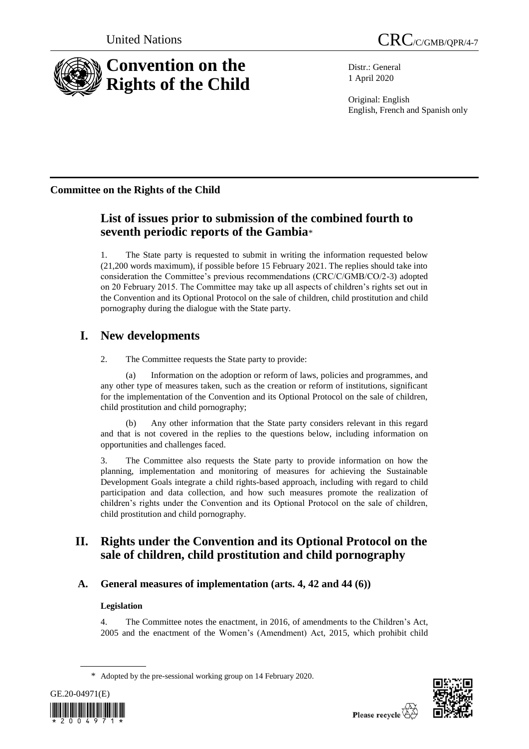

Distr.: General 1 April 2020

Original: English English, French and Spanish only

# **Committee on the Rights of the Child**

# **List of issues prior to submission of the combined fourth to seventh periodic reports of the Gambia**\*

1. The State party is requested to submit in writing the information requested below (21,200 words maximum), if possible before 15 February 2021. The replies should take into consideration the Committee's previous recommendations (CRC/C/GMB/CO/2-3) adopted on 20 February 2015. The Committee may take up all aspects of children's rights set out in the Convention and its Optional Protocol on the sale of children, child prostitution and child pornography during the dialogue with the State party.

# **I. New developments**

2. The Committee requests the State party to provide:

(a) Information on the adoption or reform of laws, policies and programmes, and any other type of measures taken, such as the creation or reform of institutions, significant for the implementation of the Convention and its Optional Protocol on the sale of children, child prostitution and child pornography;

(b) Any other information that the State party considers relevant in this regard and that is not covered in the replies to the questions below, including information on opportunities and challenges faced.

3. The Committee also requests the State party to provide information on how the planning, implementation and monitoring of measures for achieving the Sustainable Development Goals integrate a child rights-based approach, including with regard to child participation and data collection, and how such measures promote the realization of children's rights under the Convention and its Optional Protocol on the sale of children, child prostitution and child pornography.

# **II. Rights under the Convention and its Optional Protocol on the sale of children, child prostitution and child pornography**

# **A. General measures of implementation (arts. 4, 42 and 44 (6))**

# **Legislation**

4. The Committee notes the enactment, in 2016, of amendments to the Children's Act, 2005 and the enactment of the Women's (Amendment) Act, 2015, which prohibit child

<sup>\*</sup> Adopted by the pre-sessional working group on 14 February 2020.



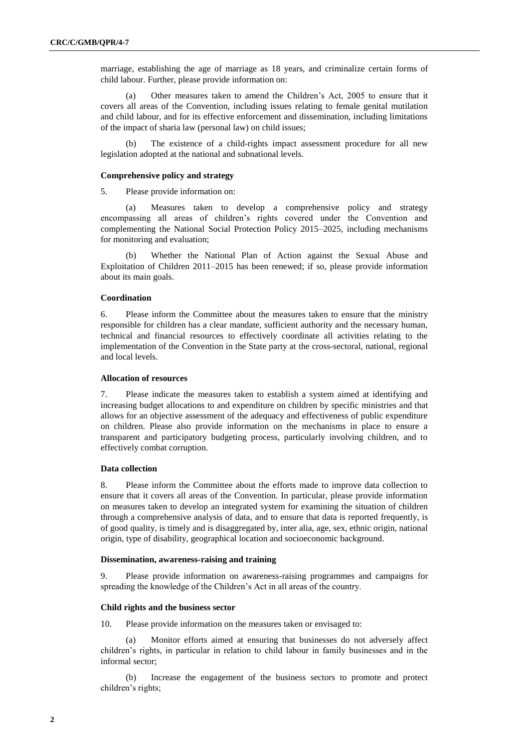marriage, establishing the age of marriage as 18 years, and criminalize certain forms of child labour. Further, please provide information on:

(a) Other measures taken to amend the Children's Act, 2005 to ensure that it covers all areas of the Convention, including issues relating to female genital mutilation and child labour, and for its effective enforcement and dissemination, including limitations of the impact of sharia law (personal law) on child issues;

(b) The existence of a child-rights impact assessment procedure for all new legislation adopted at the national and subnational levels.

#### **Comprehensive policy and strategy**

5. Please provide information on:

(a) Measures taken to develop a comprehensive policy and strategy encompassing all areas of children's rights covered under the Convention and complementing the National Social Protection Policy 2015–2025, including mechanisms for monitoring and evaluation;

(b) Whether the National Plan of Action against the Sexual Abuse and Exploitation of Children 2011–2015 has been renewed; if so, please provide information about its main goals.

#### **Coordination**

6. Please inform the Committee about the measures taken to ensure that the ministry responsible for children has a clear mandate, sufficient authority and the necessary human, technical and financial resources to effectively coordinate all activities relating to the implementation of the Convention in the State party at the cross-sectoral, national, regional and local levels.

#### **Allocation of resources**

7. Please indicate the measures taken to establish a system aimed at identifying and increasing budget allocations to and expenditure on children by specific ministries and that allows for an objective assessment of the adequacy and effectiveness of public expenditure on children. Please also provide information on the mechanisms in place to ensure a transparent and participatory budgeting process, particularly involving children, and to effectively combat corruption.

#### **Data collection**

8. Please inform the Committee about the efforts made to improve data collection to ensure that it covers all areas of the Convention. In particular, please provide information on measures taken to develop an integrated system for examining the situation of children through a comprehensive analysis of data, and to ensure that data is reported frequently, is of good quality, is timely and is disaggregated by, inter alia, age, sex, ethnic origin, national origin, type of disability, geographical location and socioeconomic background.

#### **Dissemination, awareness-raising and training**

9. Please provide information on awareness-raising programmes and campaigns for spreading the knowledge of the Children's Act in all areas of the country.

### **Child rights and the business sector**

10. Please provide information on the measures taken or envisaged to:

(a) Monitor efforts aimed at ensuring that businesses do not adversely affect children's rights, in particular in relation to child labour in family businesses and in the informal sector;

(b) Increase the engagement of the business sectors to promote and protect children's rights;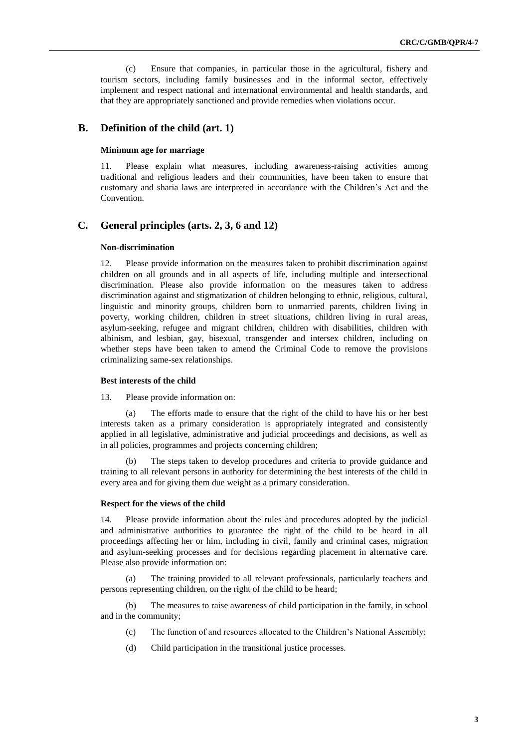(c) Ensure that companies, in particular those in the agricultural, fishery and tourism sectors, including family businesses and in the informal sector, effectively implement and respect national and international environmental and health standards, and that they are appropriately sanctioned and provide remedies when violations occur.

# **B. Definition of the child (art. 1)**

# **Minimum age for marriage**

11. Please explain what measures, including awareness-raising activities among traditional and religious leaders and their communities, have been taken to ensure that customary and sharia laws are interpreted in accordance with the Children's Act and the Convention.

### **C. General principles (arts. 2, 3, 6 and 12)**

#### **Non-discrimination**

12. Please provide information on the measures taken to prohibit discrimination against children on all grounds and in all aspects of life, including multiple and intersectional discrimination. Please also provide information on the measures taken to address discrimination against and stigmatization of children belonging to ethnic, religious, cultural, linguistic and minority groups, children born to unmarried parents, children living in poverty, working children, children in street situations, children living in rural areas, asylum-seeking, refugee and migrant children, children with disabilities, children with albinism, and lesbian, gay, bisexual, transgender and intersex children, including on whether steps have been taken to amend the Criminal Code to remove the provisions criminalizing same-sex relationships.

#### **Best interests of the child**

13. Please provide information on:

(a) The efforts made to ensure that the right of the child to have his or her best interests taken as a primary consideration is appropriately integrated and consistently applied in all legislative, administrative and judicial proceedings and decisions, as well as in all policies, programmes and projects concerning children;

(b) The steps taken to develop procedures and criteria to provide guidance and training to all relevant persons in authority for determining the best interests of the child in every area and for giving them due weight as a primary consideration.

#### **Respect for the views of the child**

14. Please provide information about the rules and procedures adopted by the judicial and administrative authorities to guarantee the right of the child to be heard in all proceedings affecting her or him, including in civil, family and criminal cases, migration and asylum-seeking processes and for decisions regarding placement in alternative care. Please also provide information on:

(a) The training provided to all relevant professionals, particularly teachers and persons representing children, on the right of the child to be heard;

(b) The measures to raise awareness of child participation in the family, in school and in the community;

- (c) The function of and resources allocated to the Children's National Assembly;
- (d) Child participation in the transitional justice processes.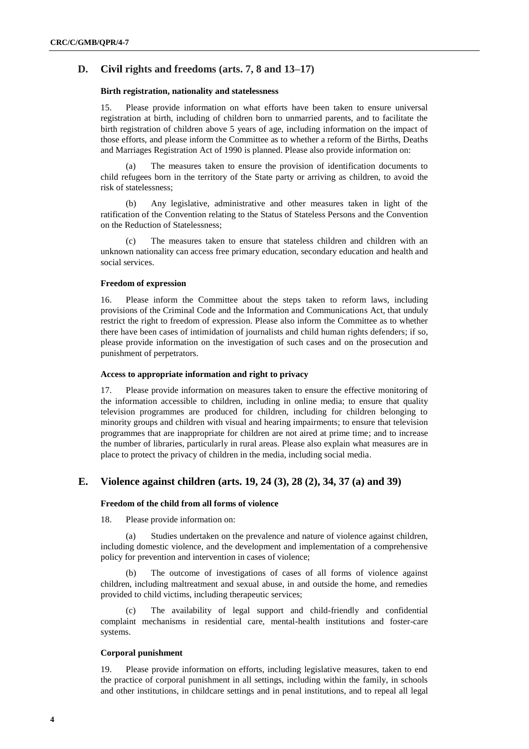# **D. Civil rights and freedoms (arts. 7, 8 and 13–17)**

#### **Birth registration, nationality and statelessness**

15. Please provide information on what efforts have been taken to ensure universal registration at birth, including of children born to unmarried parents, and to facilitate the birth registration of children above 5 years of age, including information on the impact of those efforts, and please inform the Committee as to whether a reform of the Births, Deaths and Marriages Registration Act of 1990 is planned. Please also provide information on:

(a) The measures taken to ensure the provision of identification documents to child refugees born in the territory of the State party or arriving as children, to avoid the risk of statelessness;

(b) Any legislative, administrative and other measures taken in light of the ratification of the Convention relating to the Status of Stateless Persons and the Convention on the Reduction of Statelessness;

(c) The measures taken to ensure that stateless children and children with an unknown nationality can access free primary education, secondary education and health and social services.

#### **Freedom of expression**

16. Please inform the Committee about the steps taken to reform laws, including provisions of the Criminal Code and the Information and Communications Act, that unduly restrict the right to freedom of expression. Please also inform the Committee as to whether there have been cases of intimidation of journalists and child human rights defenders; if so, please provide information on the investigation of such cases and on the prosecution and punishment of perpetrators.

### **Access to appropriate information and right to privacy**

17. Please provide information on measures taken to ensure the effective monitoring of the information accessible to children, including in online media; to ensure that quality television programmes are produced for children, including for children belonging to minority groups and children with visual and hearing impairments; to ensure that television programmes that are inappropriate for children are not aired at prime time; and to increase the number of libraries, particularly in rural areas. Please also explain what measures are in place to protect the privacy of children in the media, including social media.

# **E. Violence against children (arts. 19, 24 (3), 28 (2), 34, 37 (a) and 39)**

#### **Freedom of the child from all forms of violence**

18. Please provide information on:

(a) Studies undertaken on the prevalence and nature of violence against children, including domestic violence, and the development and implementation of a comprehensive policy for prevention and intervention in cases of violence;

The outcome of investigations of cases of all forms of violence against children, including maltreatment and sexual abuse, in and outside the home, and remedies provided to child victims, including therapeutic services;

(c) The availability of legal support and child-friendly and confidential complaint mechanisms in residential care, mental-health institutions and foster-care systems.

## **Corporal punishment**

19. Please provide information on efforts, including legislative measures, taken to end the practice of corporal punishment in all settings, including within the family, in schools and other institutions, in childcare settings and in penal institutions, and to repeal all legal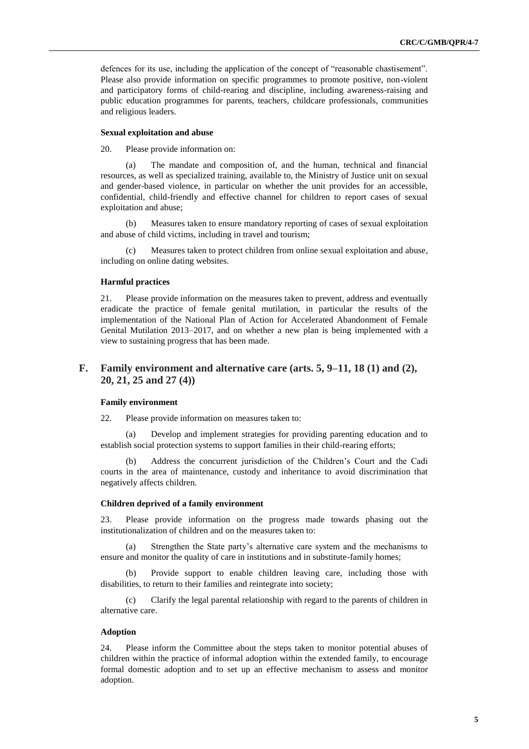defences for its use, including the application of the concept of "reasonable chastisement". Please also provide information on specific programmes to promote positive, non-violent and participatory forms of child-rearing and discipline, including awareness-raising and public education programmes for parents, teachers, childcare professionals, communities and religious leaders.

#### **Sexual exploitation and abuse**

20. Please provide information on:

(a) The mandate and composition of, and the human, technical and financial resources, as well as specialized training, available to, the Ministry of Justice unit on sexual and gender-based violence, in particular on whether the unit provides for an accessible, confidential, child-friendly and effective channel for children to report cases of sexual exploitation and abuse;

(b) Measures taken to ensure mandatory reporting of cases of sexual exploitation and abuse of child victims, including in travel and tourism;

(c) Measures taken to protect children from online sexual exploitation and abuse, including on online dating websites.

#### **Harmful practices**

21. Please provide information on the measures taken to prevent, address and eventually eradicate the practice of female genital mutilation, in particular the results of the implementation of the National Plan of Action for Accelerated Abandonment of Female Genital Mutilation 2013–2017, and on whether a new plan is being implemented with a view to sustaining progress that has been made.

# **F. Family environment and alternative care (arts. 5, 9–11, 18 (1) and (2), 20, 21, 25 and 27 (4))**

#### **Family environment**

22. Please provide information on measures taken to:

(a) Develop and implement strategies for providing parenting education and to establish social protection systems to support families in their child-rearing efforts;

Address the concurrent jurisdiction of the Children's Court and the Cadi courts in the area of maintenance, custody and inheritance to avoid discrimination that negatively affects children.

#### **Children deprived of a family environment**

23. Please provide information on the progress made towards phasing out the institutionalization of children and on the measures taken to:

(a) Strengthen the State party's alternative care system and the mechanisms to ensure and monitor the quality of care in institutions and in substitute-family homes;

(b) Provide support to enable children leaving care, including those with disabilities, to return to their families and reintegrate into society;

(c) Clarify the legal parental relationship with regard to the parents of children in alternative care.

#### **Adoption**

24. Please inform the Committee about the steps taken to monitor potential abuses of children within the practice of informal adoption within the extended family, to encourage formal domestic adoption and to set up an effective mechanism to assess and monitor adoption.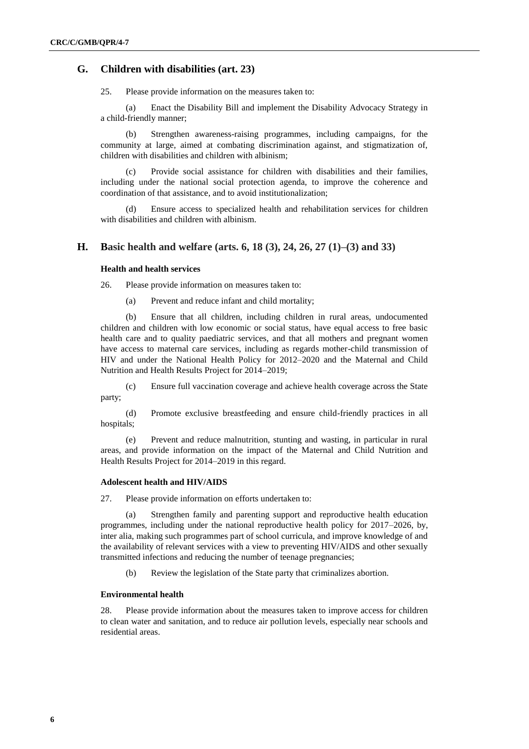# **G. Children with disabilities (art. 23)**

25. Please provide information on the measures taken to:

(a) Enact the Disability Bill and implement the Disability Advocacy Strategy in a child-friendly manner;

(b) Strengthen awareness-raising programmes, including campaigns, for the community at large, aimed at combating discrimination against, and stigmatization of, children with disabilities and children with albinism;

(c) Provide social assistance for children with disabilities and their families, including under the national social protection agenda, to improve the coherence and coordination of that assistance, and to avoid institutionalization;

Ensure access to specialized health and rehabilitation services for children with disabilities and children with albinism.

## **H. Basic health and welfare (arts. 6, 18 (3), 24, 26, 27 (1)–(3) and 33)**

### **Health and health services**

26. Please provide information on measures taken to:

(a) Prevent and reduce infant and child mortality;

(b) Ensure that all children, including children in rural areas, undocumented children and children with low economic or social status, have equal access to free basic health care and to quality paediatric services, and that all mothers and pregnant women have access to maternal care services, including as regards mother-child transmission of HIV and under the National Health Policy for 2012–2020 and the Maternal and Child Nutrition and Health Results Project for 2014–2019;

(c) Ensure full vaccination coverage and achieve health coverage across the State party;

(d) Promote exclusive breastfeeding and ensure child-friendly practices in all hospitals;

(e) Prevent and reduce malnutrition, stunting and wasting, in particular in rural areas, and provide information on the impact of the Maternal and Child Nutrition and Health Results Project for 2014–2019 in this regard.

#### **Adolescent health and HIV/AIDS**

27. Please provide information on efforts undertaken to:

(a) Strengthen family and parenting support and reproductive health education programmes, including under the national reproductive health policy for 2017–2026, by, inter alia, making such programmes part of school curricula, and improve knowledge of and the availability of relevant services with a view to preventing HIV/AIDS and other sexually transmitted infections and reducing the number of teenage pregnancies;

(b) Review the legislation of the State party that criminalizes abortion.

#### **Environmental health**

28. Please provide information about the measures taken to improve access for children to clean water and sanitation, and to reduce air pollution levels, especially near schools and residential areas.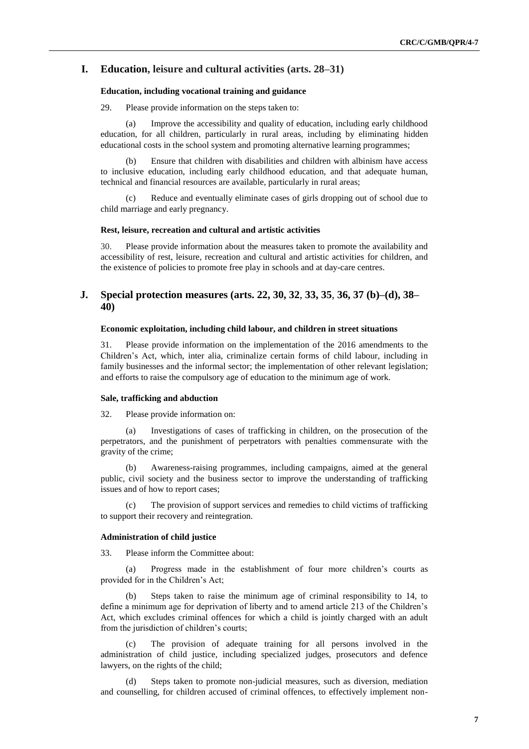# **I. Education, leisure and cultural activities (arts. 28–31)**

#### **Education, including vocational training and guidance**

29. Please provide information on the steps taken to:

(a) Improve the accessibility and quality of education, including early childhood education, for all children, particularly in rural areas, including by eliminating hidden educational costs in the school system and promoting alternative learning programmes;

(b) Ensure that children with disabilities and children with albinism have access to inclusive education, including early childhood education, and that adequate human, technical and financial resources are available, particularly in rural areas;

Reduce and eventually eliminate cases of girls dropping out of school due to child marriage and early pregnancy.

#### **Rest, leisure, recreation and cultural and artistic activities**

30. Please provide information about the measures taken to promote the availability and accessibility of rest, leisure, recreation and cultural and artistic activities for children, and the existence of policies to promote free play in schools and at day-care centres.

# **J. Special protection measures (arts. 22, 30, 32**, **33, 35**, **36, 37 (b)–(d), 38– 40)**

#### **Economic exploitation, including child labour, and children in street situations**

31. Please provide information on the implementation of the 2016 amendments to the Children's Act, which, inter alia, criminalize certain forms of child labour, including in family businesses and the informal sector; the implementation of other relevant legislation; and efforts to raise the compulsory age of education to the minimum age of work.

#### **Sale, trafficking and abduction**

32. Please provide information on:

(a) Investigations of cases of trafficking in children, on the prosecution of the perpetrators, and the punishment of perpetrators with penalties commensurate with the gravity of the crime;

(b) Awareness-raising programmes, including campaigns, aimed at the general public, civil society and the business sector to improve the understanding of trafficking issues and of how to report cases;

(c) The provision of support services and remedies to child victims of trafficking to support their recovery and reintegration.

#### **Administration of child justice**

33. Please inform the Committee about:

(a) Progress made in the establishment of four more children's courts as provided for in the Children's Act;

Steps taken to raise the minimum age of criminal responsibility to 14, to define a minimum age for deprivation of liberty and to amend article 213 of the Children's Act, which excludes criminal offences for which a child is jointly charged with an adult from the jurisdiction of children's courts;

(c) The provision of adequate training for all persons involved in the administration of child justice, including specialized judges, prosecutors and defence lawyers, on the rights of the child;

(d) Steps taken to promote non-judicial measures, such as diversion, mediation and counselling, for children accused of criminal offences, to effectively implement non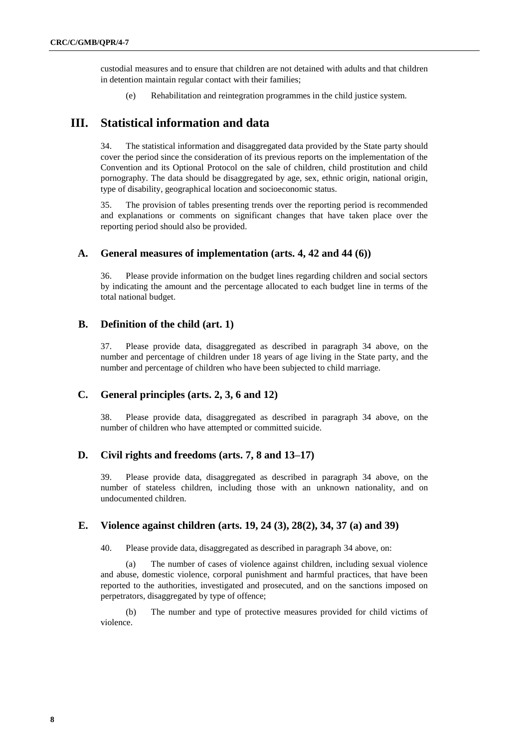custodial measures and to ensure that children are not detained with adults and that children in detention maintain regular contact with their families;

(e) Rehabilitation and reintegration programmes in the child justice system.

# **III. Statistical information and data**

34. The statistical information and disaggregated data provided by the State party should cover the period since the consideration of its previous reports on the implementation of the Convention and its Optional Protocol on the sale of children, child prostitution and child pornography. The data should be disaggregated by age, sex, ethnic origin, national origin, type of disability, geographical location and socioeconomic status.

35. The provision of tables presenting trends over the reporting period is recommended and explanations or comments on significant changes that have taken place over the reporting period should also be provided.

## **A. General measures of implementation (arts. 4, 42 and 44 (6))**

36. Please provide information on the budget lines regarding children and social sectors by indicating the amount and the percentage allocated to each budget line in terms of the total national budget.

## **B. Definition of the child (art. 1)**

37. Please provide data, disaggregated as described in paragraph 34 above, on the number and percentage of children under 18 years of age living in the State party, and the number and percentage of children who have been subjected to child marriage.

# **C. General principles (arts. 2, 3, 6 and 12)**

38. Please provide data, disaggregated as described in paragraph 34 above, on the number of children who have attempted or committed suicide.

# **D. Civil rights and freedoms (arts. 7, 8 and 13–17)**

39. Please provide data, disaggregated as described in paragraph 34 above, on the number of stateless children, including those with an unknown nationality, and on undocumented children.

## **E. Violence against children (arts. 19, 24 (3), 28(2), 34, 37 (a) and 39)**

40. Please provide data, disaggregated as described in paragraph 34 above, on:

(a) The number of cases of violence against children, including sexual violence and abuse, domestic violence, corporal punishment and harmful practices, that have been reported to the authorities, investigated and prosecuted, and on the sanctions imposed on perpetrators, disaggregated by type of offence;

(b) The number and type of protective measures provided for child victims of violence.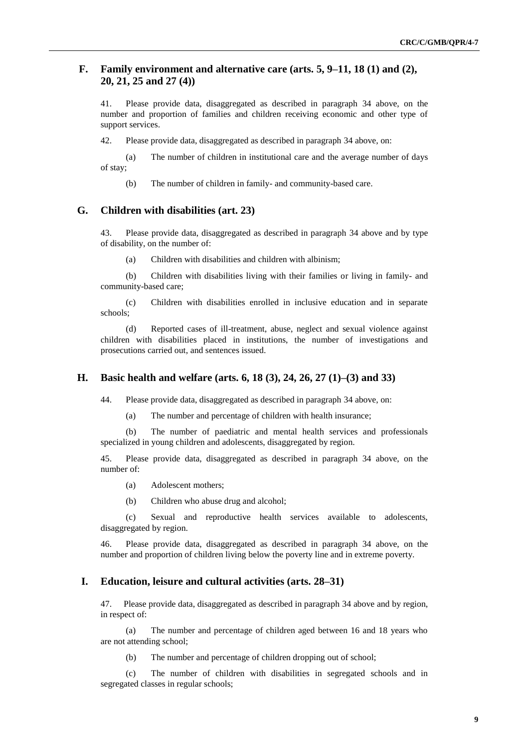# **F. Family environment and alternative care (arts. 5, 9–11, 18 (1) and (2), 20, 21, 25 and 27 (4))**

41. Please provide data, disaggregated as described in paragraph 34 above, on the number and proportion of families and children receiving economic and other type of support services.

42. Please provide data, disaggregated as described in paragraph 34 above, on:

(a) The number of children in institutional care and the average number of days of stay;

(b) The number of children in family- and community-based care.

## **G. Children with disabilities (art. 23)**

43. Please provide data, disaggregated as described in paragraph 34 above and by type of disability, on the number of:

(a) Children with disabilities and children with albinism;

(b) Children with disabilities living with their families or living in family- and community-based care;

(c) Children with disabilities enrolled in inclusive education and in separate schools;

(d) Reported cases of ill-treatment, abuse, neglect and sexual violence against children with disabilities placed in institutions, the number of investigations and prosecutions carried out, and sentences issued.

# **H. Basic health and welfare (arts. 6, 18 (3), 24, 26, 27 (1)–(3) and 33)**

44. Please provide data, disaggregated as described in paragraph 34 above, on:

(a) The number and percentage of children with health insurance;

(b) The number of paediatric and mental health services and professionals specialized in young children and adolescents, disaggregated by region.

45. Please provide data, disaggregated as described in paragraph 34 above, on the number of:

(a) Adolescent mothers;

(b) Children who abuse drug and alcohol;

(c) Sexual and reproductive health services available to adolescents, disaggregated by region.

46. Please provide data, disaggregated as described in paragraph 34 above, on the number and proportion of children living below the poverty line and in extreme poverty.

#### **I. Education, leisure and cultural activities (arts. 28–31)**

47. Please provide data, disaggregated as described in paragraph 34 above and by region, in respect of:

(a) The number and percentage of children aged between 16 and 18 years who are not attending school;

(b) The number and percentage of children dropping out of school;

(c) The number of children with disabilities in segregated schools and in segregated classes in regular schools;